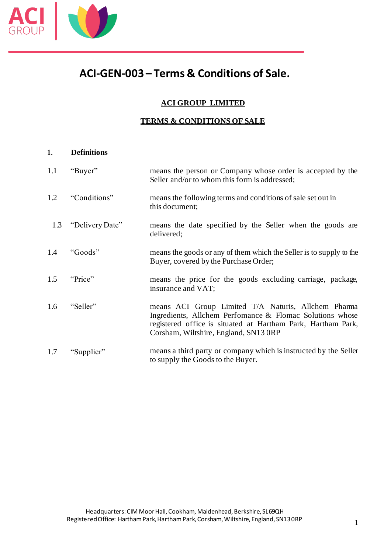

### **ACI GROUP LIMITED**

### **TERMS & CONDITIONS OF SALE**

### **1. Definitions**

| 1.1 | "Buyer"         | means the person or Company whose order is accepted by the<br>Seller and/or to whom this form is addressed;                                                                                                              |
|-----|-----------------|--------------------------------------------------------------------------------------------------------------------------------------------------------------------------------------------------------------------------|
| 1.2 | "Conditions"    | means the following terms and conditions of sale set out in<br>this document;                                                                                                                                            |
| 1.3 | "Delivery Date" | means the date specified by the Seller when the goods are<br>delivered;                                                                                                                                                  |
| 1.4 | "Goods"         | means the goods or any of them which the Seller is to supply to the<br>Buyer, covered by the Purchase Order;                                                                                                             |
| 1.5 | "Price"         | means the price for the goods excluding carriage, package,<br>insurance and VAT;                                                                                                                                         |
| 1.6 | "Seller"        | means ACI Group Limited T/A Naturis, Allchem Pharma<br>Ingredients, Allchem Perfomance & Flomac Solutions whose<br>registered office is situated at Hartham Park, Hartham Park,<br>Corsham, Wiltshire, England, SN13 ORP |
| 1.7 | "Supplier"      | means a third party or company which is instructed by the Seller<br>to supply the Goods to the Buyer.                                                                                                                    |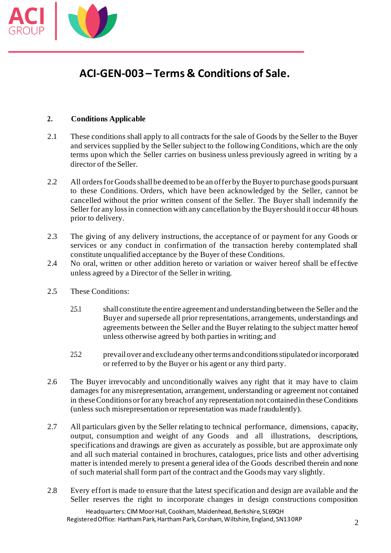

### **2. Conditions Applicable**

- 2.1 These conditions shall apply to all contracts for the sale of Goods by the Seller to the Buyer and services supplied by the Seller subject to the following Conditions, which are the only terms upon which the Seller carries on business unless previously agreed in writing by a director of the Seller.
- 2.2 All orders for Goods shall be deemed to be an offer by the Buyer to purchase goods pursuant to these Conditions. Orders, which have been acknowledged by the Seller, cannot be cancelled without the prior written consent of the Seller. The Buyer shall indemnify the Seller for any loss in connection with any cancellation by the Buyer should it occur 48 hours prior to delivery.
- 2.3 The giving of any delivery instructions, the acceptance of or payment for any Goods or services or any conduct in confirmation of the transaction hereby contemplated shall constitute unqualified acceptance by the Buyer of these Conditions.
- 2.4 No oral, written or other addition hereto or variation or waiver hereof shall be effective unless agreed by a Director of the Seller in writing.
- 2.5 These Conditions:
	- 2.5.1 shall constitute the entire agreement and understanding between the Seller and the Buyer and supersede all prior representations, arrangements, understandings and agreements between the Seller and the Buyer relating to the subject matter hereof unless otherwise agreed by both parties in writing; and
	- 2.5.2 prevail over and exclude any other terms and conditions stipulated or incorporated or referred to by the Buyer or his agent or any third party.
- 2.6 The Buyer irrevocably and unconditionally waives any right that it may have to claim damages for any misrepresentation, arrangement, understanding or agreement not contained in these Conditions or for any breach of any representation not contained in these Conditions (unless such misrepresentation or representation was made fraudulently).
- 2.7 All particulars given by the Seller relating to technical performance, dimensions, capacity, output, consumption and weight of any Goods and all illustrations, descriptions, specifications and drawings are given as accurately as possible, but are approximate only and all such material contained in brochures, catalogues, price lists and other advertising matter is intended merely to present a general idea of the Goods described therein and none of such material shall form part of the contract and the Goods may vary slightly.
- 2.8 Every effort is made to ensure that the latest specification and design are available and the Seller reserves the right to incorporate changes in design constructions composition

Headquarters:CIM Moor Hall, Cookham, Maidenhead, Berkshire, SL69QH Registered Office: Hartham Park, Hartham Park, Corsham, Wiltshire, England, SN13 0RP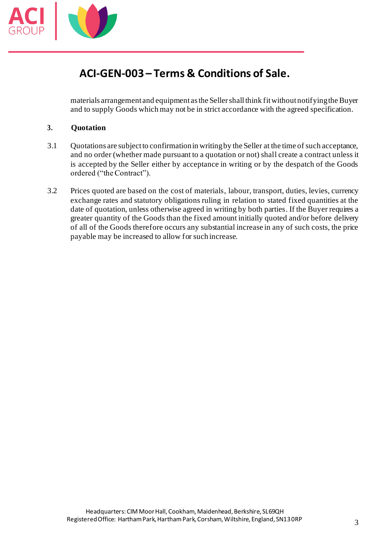

materials arrangement and equipment as the Seller shall think fit without notifying the Buyer and to supply Goods which may not be in strict accordance with the agreed specification.

### **3. Quotation**

- 3.1 Quotations are subject to confirmation in writing by the Seller at the time of such acceptance, and no order (whether made pursuant to a quotation or not) shall create a contract unless it is accepted by the Seller either by acceptance in writing or by the despatch of the Goods ordered ("the Contract").
- 3.2 Prices quoted are based on the cost of materials, labour, transport, duties, levies, currency exchange rates and statutory obligations ruling in relation to stated fixed quantities at the date of quotation, unless otherwise agreed in writing by both parties. If the Buyer requires a greater quantity of the Goods than the fixed amount initially quoted and/or before delivery of all of the Goods therefore occurs any substantial increase in any of such costs, the price payable may be increased to allow for such increase.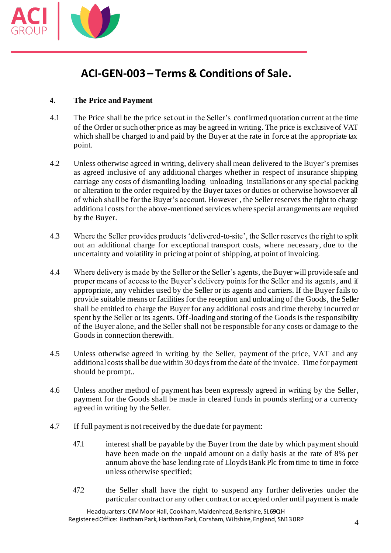

### **4. The Price and Payment**

- 4.1 The Price shall be the price set out in the Seller's confirmed quotation current at the time of the Order or such other price as may be agreed in writing. The price is exclusive of VAT which shall be charged to and paid by the Buyer at the rate in force at the appropriate tax point.
- 4.2 Unless otherwise agreed in writing, delivery shall mean delivered to the Buyer's premises as agreed inclusive of any additional charges whether in respect of insurance shipping carriage any costs of dismantling loading unloading installations or any special packing or alteration to the order required by the Buyer taxes or duties or otherwise howsoever all of which shall be for the Buyer's account. However , the Seller reserves the right to charge additional costs for the above-mentioned services where special arrangements are required by the Buyer.
- 4.3 Where the Seller provides products 'delivered-to-site', the Seller reserves the right to split out an additional charge for exceptional transport costs, where necessary, due to the uncertainty and volatility in pricing at point of shipping, at point of invoicing.
- 4.4 Where delivery is made by the Seller or the Seller's agents, the Buyer will provide safe and proper means of access to the Buyer's delivery points for the Seller and its agents, and if appropriate, any vehicles used by the Seller or its agents and carriers. If the Buyer fails to provide suitable means or facilities for the reception and unloading of the Goods, the Seller shall be entitled to charge the Buyer for any additional costs and time thereby incurred or spent by the Seller or its agents. Off-loading and storing of the Goods is the responsibility of the Buyer alone, and the Seller shall not be responsible for any costs or damage to the Goods in connection therewith.
- 4.5 Unless otherwise agreed in writing by the Seller, payment of the price, VAT and any additional costs shall be due within 30 days from the date of the invoice. Time for payment should be prompt..
- 4.6 Unless another method of payment has been expressly agreed in writing by the Seller, payment for the Goods shall be made in cleared funds in pounds sterling or a currency agreed in writing by the Seller.
- 4.7 If full payment is not received by the due date for payment:
	- 4.7.1 interest shall be payable by the Buyer from the date by which payment should have been made on the unpaid amount on a daily basis at the rate of 8% per annum above the base lending rate of Lloyds Bank Plc from time to time in force unless otherwise specified;
	- 4.7.2 the Seller shall have the right to suspend any further deliveries under the particular contract or any other contract or accepted order until payment is made

Headquarters:CIM Moor Hall, Cookham, Maidenhead, Berkshire, SL69QH Registered Office: Hartham Park, HarthamPark, Corsham, Wiltshire, England, SN13 0RP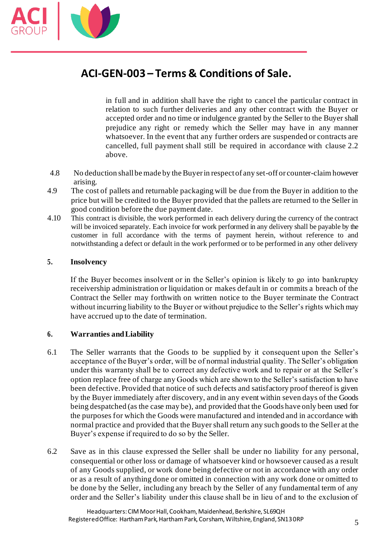

in full and in addition shall have the right to cancel the particular contract in relation to such further deliveries and any other contract with the Buyer or accepted order and no time or indulgence granted by the Seller to the Buyer shall prejudice any right or remedy which the Seller may have in any manner whatsoever. In the event that any further orders are suspended or contracts are cancelled, full payment shall still be required in accordance with clause 2.2 above.

- 4.8 No deduction shall be made by the Buyer in respect of any set-off or counter-claim however arising.
- 4.9 The cost of pallets and returnable packaging will be due from the Buyer in addition to the price but will be credited to the Buyer provided that the pallets are returned to the Seller in good condition before the due payment date.
- 4.10 This contract is divisible, the work performed in each delivery during the currency of the contract will be invoiced separately. Each invoice for work performed in any delivery shall be payable by the customer in full accordance with the terms of payment herein, without reference to and notwithstanding a defect or default in the work performed or to be performed in any other delivery

### **5. Insolvency**

If the Buyer becomes insolvent or in the Seller's opinion is likely to go into bankruptcy receivership administration or liquidation or makes default in or commits a breach of the Contract the Seller may forthwith on written notice to the Buyer terminate the Contract without incurring liability to the Buyer or without prejudice to the Seller's rights which may have accrued up to the date of termination.

#### **6. Warranties andLiability**

- 6.1 The Seller warrants that the Goods to be supplied by it consequent upon the Seller's acceptance of the Buyer's order, will be of normal industrial quality. The Seller's obligation under this warranty shall be to correct any defective work and to repair or at the Seller's option replace free of charge any Goods which are shown to the Seller's satisfaction to have been defective. Provided that notice of such defects and satisfactory proof thereof is given by the Buyer immediately after discovery, and in any event within seven days of the Goods being despatched (as the case may be), and provided that the Goods have only been used for the purposes for which the Goods were manufactured and intended and in accordance with normal practice and provided that the Buyer shall return any such goods to the Seller at the Buyer's expense if required to do so by the Seller.
- 6.2 Save as in this clause expressed the Seller shall be under no liability for any personal, consequential or other loss or damage of whatsoever kind or howsoever caused as a result of any Goods supplied, or work done being defective or not in accordance with any order or as a result of anything done or omitted in connection with any work done or omitted to be done by the Seller, including any breach by the Seller of any fundamental term of any order and the Seller's liability under this clause shall be in lieu of and to the exclusion of

Headquarters:CIM Moor Hall, Cookham, Maidenhead, Berkshire, SL69QH Registered Office: Hartham Park, HarthamPark, Corsham, Wiltshire, England, SN13 0RP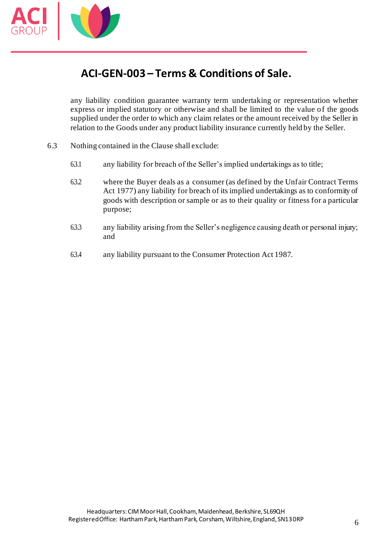

any liability condition guarantee warranty term undertaking or representation whether express or implied statutory or otherwise and shall be limited to the value of the goods supplied under the order to which any claim relates or the amount received by the Seller in relation to the Goods under any product liability insurance currently held by the Seller.

- 6.3 Nothing contained in the Clause shall exclude:
	- 6.3.1 any liability for breach of the Seller's implied undertakings as to title;
	- 6.3.2 where the Buyer deals as a consumer (as defined by the Unfair Contract Terms Act 1977) any liability for breach of its implied undertakings as to conformity of goods with description or sample or as to their quality or fitness for a particular purpose;
	- 6.3.3 any liability arising from the Seller's negligence causing death or personal injury; and
	- 6.3.4 any liability pursuant to the Consumer Protection Act 1987.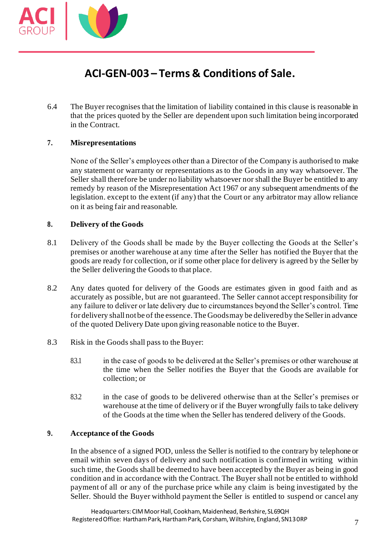

6.4 The Buyer recognises that the limitation of liability contained in this clause is reasonable in that the prices quoted by the Seller are dependent upon such limitation being incorporated in the Contract.

### **7. Misrepresentations**

None of the Seller's employees other than a Director of the Company is authorised to make any statement or warranty or representations as to the Goods in any way whatsoever. The Seller shall therefore be under no liability whatsoever nor shall the Buyer be entitled to any remedy by reason of the Misrepresentation Act 1967 or any subsequent amendments of the legislation. except to the extent (if any) that the Court or any arbitrator may allow reliance on it as being fair and reasonable.

### **8. Delivery of the Goods**

- 8.1 Delivery of the Goods shall be made by the Buyer collecting the Goods at the Seller's premises or another warehouse at any time after the Seller has notified the Buyer that the goods are ready for collection, or if some other place for delivery is agreed by the Seller by the Seller delivering the Goods to that place.
- 8.2 Any dates quoted for delivery of the Goods are estimates given in good faith and as accurately as possible, but are not guaranteed. The Seller cannot accept responsibility for any failure to deliver or late delivery due to circumstances beyond the Seller's control. Time for delivery shall not be of the essence. The Goods may be delivered by the Seller in advance of the quoted Delivery Date upon giving reasonable notice to the Buyer.
- 8.3 Risk in the Goods shall pass to the Buyer:
	- 8.3.1 in the case of goods to be delivered at the Seller's premises or other warehouse at the time when the Seller notifies the Buyer that the Goods are available for collection; or
	- 8.3.2 in the case of goods to be delivered otherwise than at the Seller's premises or warehouse at the time of delivery or if the Buyer wrongfully fails to take delivery of the Goods at the time when the Seller has tendered delivery of the Goods.

#### **9. Acceptance of the Goods**

In the absence of a signed POD, unless the Seller is notified to the contrary by telephone or email within seven days of delivery and such notification is confirmed in writing within such time, the Goods shall be deemed to have been accepted by the Buyer as being in good condition and in accordance with the Contract. The Buyer shall not be entitled to withhold payment of all or any of the purchase price while any claim is being investigated by the Seller. Should the Buyer withhold payment the Seller is entitled to suspend or cancel any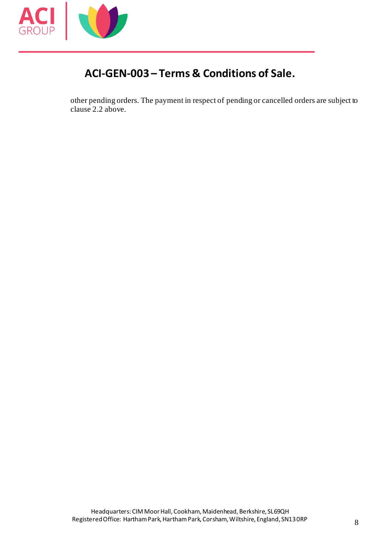

other pending orders. The payment in respect of pending or cancelled orders are subject to clause 2.2 above.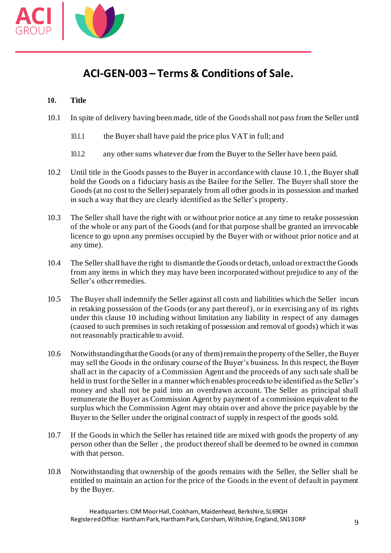

### **10. Title**

- 10.1 In spite of delivery having been made, title of the Goods shall not pass from the Seller until
	- 10.1.1 the Buyer shall have paid the price plus VAT in full; and
	- 10.1.2 any other sums whatever due from the Buyer to the Seller have been paid.
- 10.2 Until title in the Goods passes to the Buyer in accordance with clause 10.1, the Buyer shall hold the Goods on a fiduciary basis as the Bailee for the Seller. The Buyer shall store the Goods (at no cost to the Seller) separately from all other goods in its possession and marked in such a way that they are clearly identified as the Seller's property.
- 10.3 The Seller shall have the right with or without prior notice at any time to retake possession of the whole or any part of the Goods (and for that purpose shall be granted an irrevocable licence to go upon any premises occupied by the Buyer with or without prior notice and at any time).
- 10.4 The Seller shall have the right to dismantle the Goods or detach, unload or extract the Goods from any items in which they may have been incorporated without prejudice to any of the Seller's other remedies.
- 10.5 The Buyer shall indemnify the Seller against all costs and liabilities which the Seller incurs in retaking possession of the Goods (or any part thereof), or in exercising any of its rights under this clause 10 including without limitation any liability in respect of any damages (caused to such premises in such retaking of possession and removal of goods) which it was not reasonably practicable to avoid.
- 10.6 Notwithstanding that the Goods (or any of them) remain the property of the Seller, the Buyer may sell the Goods in the ordinary course of the Buyer's business. In this respect, the Buyer shall act in the capacity of a Commission Agent and the proceeds of any such sale shall be held in trust for the Seller in a manner which enables proceeds to be identified as the Seller's money and shall not be paid into an overdrawn account. The Seller as principal shall remunerate the Buyer as Commission Agent by payment of a commission equivalent to the surplus which the Commission Agent may obtain over and above the price payable by the Buyer to the Seller under the original contract of supply in respect of the goods sold.
- 10.7 If the Goods in which the Seller has retained title are mixed with goods the property of any person other than the Seller , the product thereof shall be deemed to be owned in common with that person.
- 10.8 Notwithstanding that ownership of the goods remains with the Seller, the Seller shall be entitled to maintain an action for the price of the Goods in the event of default in payment by the Buyer.

Headquarters:CIM Moor Hall, Cookham, Maidenhead, Berkshire, SL69QH Registered Office: Hartham Park, HarthamPark, Corsham, Wiltshire, England, SN13 0RP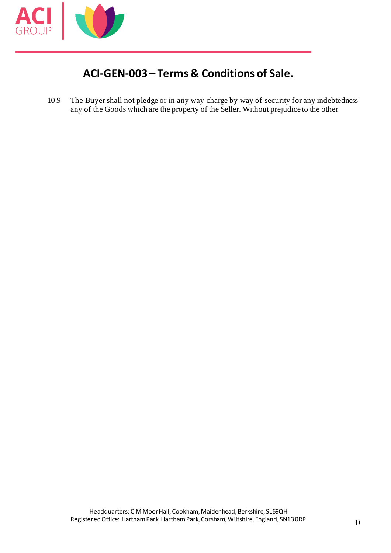

10.9 The Buyer shall not pledge or in any way charge by way of security for any indebtedness any of the Goods which are the property of the Seller. Without prejudice to the other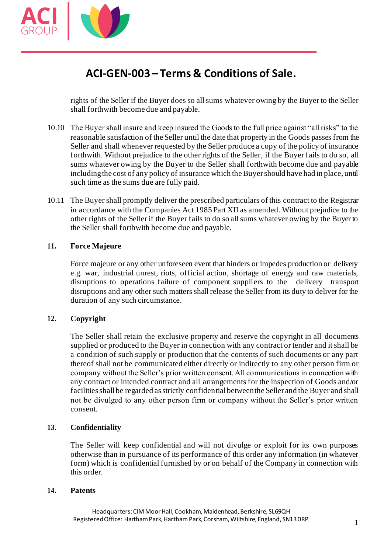

rights of the Seller if the Buyer does so all sums whatever owing by the Buyer to the Seller shall forthwith become due and payable.

- 10.10 The Buyer shall insure and keep insured the Goods to the full price against "all risks" to the reasonable satisfaction of the Seller until the date that property in the Goods passes from the Seller and shall whenever requested by the Seller produce a copy of the policy of insurance forthwith. Without prejudice to the other rights of the Seller, if the Buyer fails to do so, all sums whatever owing by the Buyer to the Seller shall forthwith become due and payable including the cost of any policy of insurance which the Buyer should have had in place, until such time as the sums due are fully paid.
- 10.11 The Buyer shall promptly deliver the prescribed particulars of this contract to the Registrar in accordance with the Companies Act 1985 Part XII as amended. Without prejudice to the other rights of the Seller if the Buyer fails to do so all sums whatever owing by the Buyer to the Seller shall forthwith become due and payable.

### **11. Force Majeure**

Force majeure or any other unforeseen event that hinders or impedes production or delivery e.g. war, industrial unrest, riots, official action, shortage of energy and raw materials, disruptions to operations failure of component suppliers to the delivery transport disruptions and any other such matters shall release the Seller from its duty to deliver for the duration of any such circumstance.

### **12. Copyright**

The Seller shall retain the exclusive property and reserve the copyright in all documents supplied or produced to the Buyer in connection with any contract or tender and it shall be a condition of such supply or production that the contents of such documents or any part thereof shall not be communicated either directly or indirectly to any other person firm or company without the Seller's prior written consent. All communications in connection with any contract or intended contract and all arrangements for the inspection of Goods and/or facilities shall be regarded as strictly confidential between the Seller and the Buyer and shall not be divulged to any other person firm or company without the Seller's prior written consent.

### **13. Confidentiality**

The Seller will keep confidential and will not divulge or exploit for its own purposes otherwise than in pursuance of its performance of this order any information (in whatever form) which is confidential furnished by or on behalf of the Company in connection with this order.

#### **14. Patents**

Headquarters:CIM Moor Hall, Cookham, Maidenhead, Berkshire, SL69QH Registered Office: Hartham Park, Hartham Park, Corsham, Wiltshire, England, SN13 0RP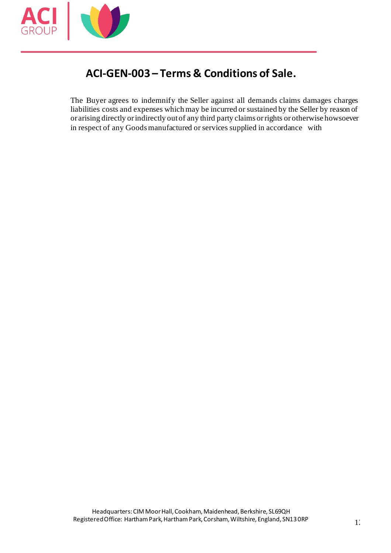

The Buyer agrees to indemnify the Seller against all demands claims damages charges liabilities costs and expenses which may be incurred or sustained by the Seller by reason of or arising directly or indirectly out of any third party claims or rights or otherwise howsoever in respect of any Goods manufactured or services supplied in accordance with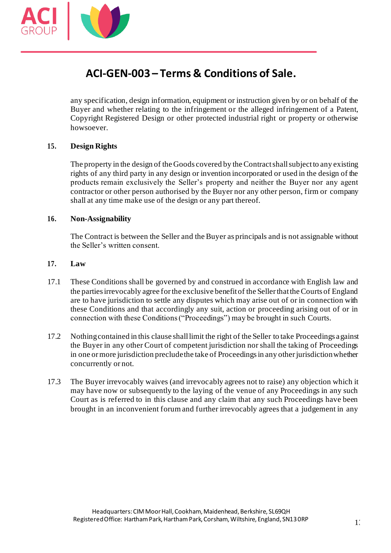

any specification, design information, equipment or instruction given by or on behalf of the Buyer and whether relating to the infringement or the alleged infringement of a Patent, Copyright Registered Design or other protected industrial right or property or otherwise howsoever.

### **15. Design Rights**

The property in the design of the Goods covered by the Contract shall subject to any existing rights of any third party in any design or invention incorporated or used in the design of the products remain exclusively the Seller's property and neither the Buyer nor any agent contractor or other person authorised by the Buyer nor any other person, firm or company shall at any time make use of the design or any part thereof.

#### **16. Non-Assignability**

The Contract is between the Seller and the Buyer as principals and is not assignable without the Seller's written consent.

#### **17. Law**

- 17.1 These Conditions shall be governed by and construed in accordance with English law and the parties irrevocably agree for the exclusive benefit of the Seller that the Courts of England are to have jurisdiction to settle any disputes which may arise out of or in connection with these Conditions and that accordingly any suit, action or proceeding arising out of or in connection with these Conditions ("Proceedings") may be brought in such Courts.
- 17.2 Nothing contained in this clause shall limit the right of the Seller to take Proceedings against the Buyer in any other Court of competent jurisdiction nor shall the taking of Proceedings in one or more jurisdiction preclude the take of Proceedings in any other jurisdiction whether concurrently or not.
- 17.3 The Buyer irrevocably waives (and irrevocably agrees not to raise) any objection which it may have now or subsequently to the laying of the venue of any Proceedings in any such Court as is referred to in this clause and any claim that any such Proceedings have been brought in an inconvenient forum and further irrevocably agrees that a judgement in any